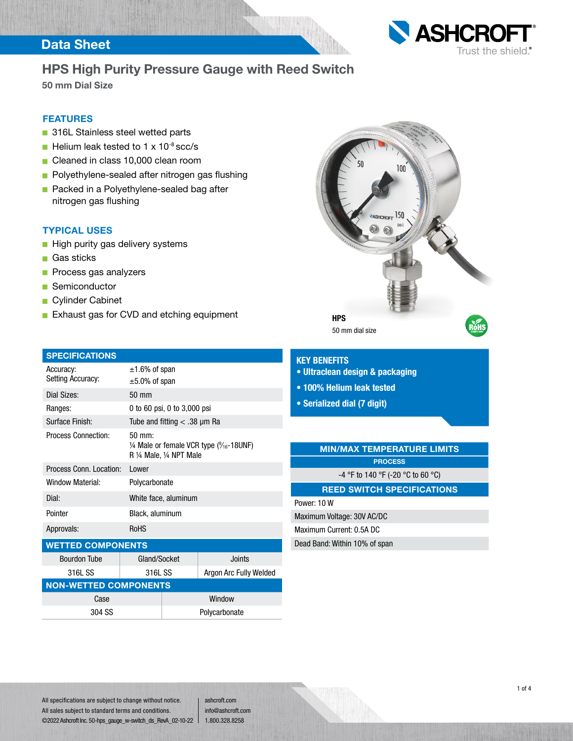### Data Sheet



## HPS High Purity Pressure Gauge with Reed Switch

50 mm Dial Size

### FEATURES

- 316L Stainless steel wetted parts
- Helium leak tested to  $1 \times 10^{-8}$  scc/s
- Cleaned in class 10,000 clean room
- **Polyethylene-sealed after nitrogen gas flushing**
- **Packed in a Polyethylene-sealed bag after** nitrogen gas flushing

#### TYPICAL USES

- High purity gas delivery systems
- Gas sticks
- **Process gas analyzers**
- Semiconductor
- Cylinder Cabinet
- **Exhaust gas for CVD and etching equipment**

| <b>SPECIFICATIONS</b>          |                                                                                                      |
|--------------------------------|------------------------------------------------------------------------------------------------------|
| Accuracy:<br>Setting Accuracy: | $\pm 1.6\%$ of span<br>$\pm 5.0\%$ of span                                                           |
| Dial Sizes:                    | 50 mm                                                                                                |
| Ranges:                        | 0 to 60 psi, 0 to 3,000 psi                                                                          |
| Surface Finish:                | Tube and fitting $<$ .38 µm Ra                                                                       |
| <b>Process Connection:</b>     | 50 mm:<br>$\frac{1}{4}$ Male or female VCR type ( $\frac{9}{16}$ -18UNF)<br>R 1/4 Male, 1/4 NPT Male |
| Process Conn. Location:        | Lower                                                                                                |
| Window Material:               | Polycarbonate                                                                                        |
| Dial:                          | White face, aluminum                                                                                 |
| Pointer                        | Black, aluminum                                                                                      |
| Approvals:                     | <b>RoHS</b>                                                                                          |

#### WETTED COMPONENTS

| <b>Bourdon Tube</b>          | Gland/Socket |  | Joints                 |  |  |
|------------------------------|--------------|--|------------------------|--|--|
| 316L SS                      | 316L SS      |  | Argon Arc Fully Welded |  |  |
| <b>NON-WETTED COMPONENTS</b> |              |  |                        |  |  |
| Case                         |              |  | Window                 |  |  |
| 304 SS                       |              |  | Polycarbonate          |  |  |



#### KEY BENEFITS

- Ultraclean design & packaging
- 100% Helium leak tested
- Serialized dial (7 digit)

### MIN/MAX TEMPERATURE LIMITS **PROCESS**

-4 °F to 140 °F (-20 °C to 60 °C)

### REED SWITCH SPECIFICATIONS

Power: 10 W Maximum Voltage: 30V AC/DC

Maximum Current: 0.5A DC

Dead Band: Within 10% of span

All specifications are subject to change without notice. All sales subject to standard terms and conditions. ©2022 Ashcroft Inc. 50-hps\_gauge\_w-switch\_ds\_RevA\_02-10-22

ashcroft.com info@ashcroft.com 1.800.328.8258

1 of 4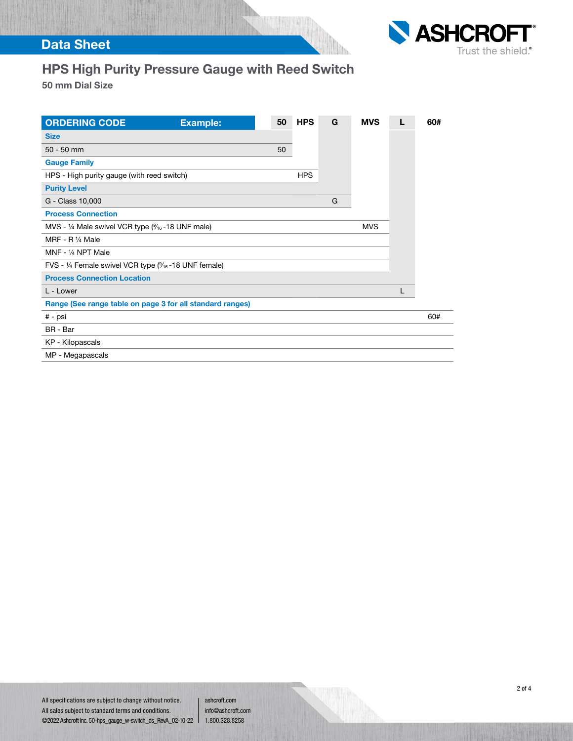

## Data Sheet

# HPS High Purity Pressure Gauge with Reed Switch

50 mm Dial Size

| <b>ORDERING CODE</b>                                                             | <b>Example:</b> | 50 | <b>HPS</b> | G | <b>MVS</b> |   | 60# |
|----------------------------------------------------------------------------------|-----------------|----|------------|---|------------|---|-----|
| <b>Size</b>                                                                      |                 |    |            |   |            |   |     |
| $50 - 50$ mm                                                                     |                 | 50 |            |   |            |   |     |
| <b>Gauge Family</b>                                                              |                 |    |            |   |            |   |     |
| HPS - High purity gauge (with reed switch)                                       |                 |    | <b>HPS</b> |   |            |   |     |
| <b>Purity Level</b>                                                              |                 |    |            |   |            |   |     |
| G - Class 10,000                                                                 |                 |    |            | G |            |   |     |
| <b>Process Connection</b>                                                        |                 |    |            |   |            |   |     |
| MVS - 1/4 Male swivel VCR type $\left(\frac{9}{16} - 18 \text{ UNF male}\right)$ |                 |    |            |   | <b>MVS</b> |   |     |
| MRF - R 1/4 Male                                                                 |                 |    |            |   |            |   |     |
| MNF - 1/4 NPT Male                                                               |                 |    |            |   |            |   |     |
| FVS - 1/4 Female swivel VCR type $\frac{9}{16}$ -18 UNF female)                  |                 |    |            |   |            |   |     |
| <b>Process Connection Location</b>                                               |                 |    |            |   |            |   |     |
| L - Lower                                                                        |                 |    |            |   |            | L |     |
| Range (See range table on page 3 for all standard ranges)                        |                 |    |            |   |            |   |     |
| # - psi                                                                          |                 |    |            |   |            |   | 60# |
| BR - Bar                                                                         |                 |    |            |   |            |   |     |
| KP - Kilopascals                                                                 |                 |    |            |   |            |   |     |
| MP - Megapascals                                                                 |                 |    |            |   |            |   |     |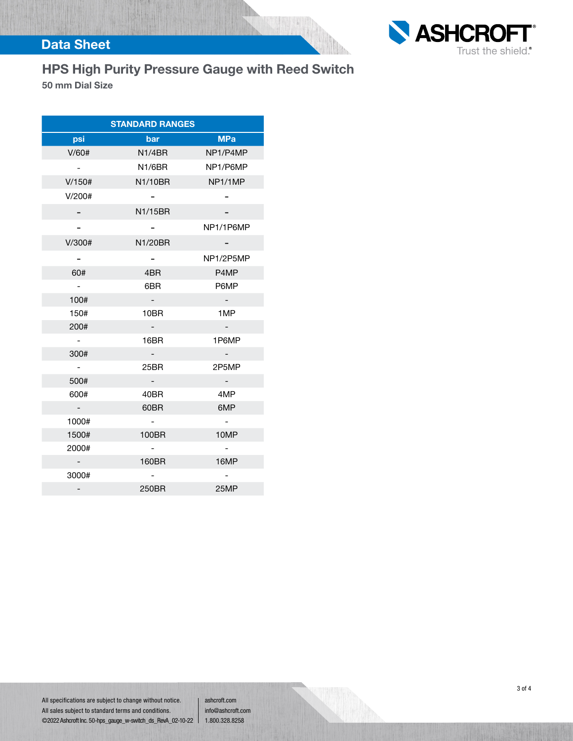

## Data Sheet

# HPS High Purity Pressure Gauge with Reed Switch

50 mm Dial Size

| <b>STANDARD RANGES</b> |         |            |  |  |
|------------------------|---------|------------|--|--|
| psi                    | bar     | <b>MPa</b> |  |  |
| V/60#                  | N1/4BR  | NP1/P4MP   |  |  |
| $-$                    | N1/6BR  | NP1/P6MP   |  |  |
| V/150#                 | N1/10BR | NP1/1MP    |  |  |
| V/200#                 |         |            |  |  |
|                        | N1/15BR |            |  |  |
|                        |         | NP1/1P6MP  |  |  |
| V/300#                 | N1/20BR |            |  |  |
|                        |         | NP1/2P5MP  |  |  |
| 60#                    | 4BR     | P4MP       |  |  |
| $\sim$ $-$             | 6BR     | P6MP       |  |  |
| 100#                   | $\sim$  | $\sim$     |  |  |
| 150#                   | 10BR    | 1MP        |  |  |
| 200#                   | $\sim$  |            |  |  |
| $\sim$                 | 16BR    | 1P6MP      |  |  |
| 300#                   |         |            |  |  |
| $\sim$                 | 25BR    | 2P5MP      |  |  |
| 500#                   |         |            |  |  |
| 600#                   | 40BR    | 4MP        |  |  |
| $\sim$ $-$             | 60BR    | 6MP        |  |  |
| 1000#                  |         |            |  |  |
| 1500#                  | 100BR   | 10MP       |  |  |
| 2000#                  |         |            |  |  |
|                        | 160BR   | 16MP       |  |  |
| 3000#                  |         |            |  |  |
|                        | 250BR   | 25MP       |  |  |

All specifications are subject to change without notice. All sales subject to standard terms and conditions. ©2022 Ashcroft Inc. 50-hps\_gauge\_w-switch\_ds\_RevA\_02-10-22

ashcroft.com info@ashcroft.com 1.800.328.8258